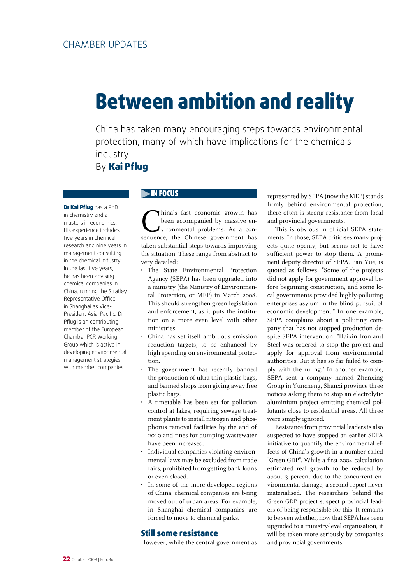# Between ambition and reality

China has taken many encouraging steps towards environmental protection, many of which have implications for the chemicals industry

By Kai Pflug

Dr Kai Pflug has a PhD in chemistry and a masters in economics. His experience includes five years in chemical research and nine years in management consulting in the chemical industry. In the last five years, he has been advising chemical companies in China, running the Stratley Representative Office in Shanghai as Vice-President Asia-Pacific. Dr Pflug is an contributing member of the European Chamber PCR Working Group which is active in developing environmental management strategies with member companies.

## IN FOCUS

hina's fast economic growth has been accompanied by massive environmental problems. As a consequence, the Chinese government has taken substantial steps towards improving the situation. These range from abstract to very detailed:

- The State Environmental Protection Agency (SEPA) has been upgraded into a ministry (the Ministry of Environmental Protection, or MEP) in March 2008. This should strengthen green legislation and enforcement, as it puts the institution on a more even level with other ministries.
- China has set itself ambitious emission reduction targets, to be enhanced by high spending on environmental protection.
- The government has recently banned the production of ultra-thin plastic bags, and banned shops from giving away free plastic bags.
- A timetable has been set for pollution control at lakes, requiring sewage treatment plants to install nitrogen and phosphorus removal facilities by the end of 2010 and fines for dumping wastewater have been increased.
- Individual companies violating environmental laws may be excluded from trade fairs, prohibited from getting bank loans or even closed.
- In some of the more developed regions of China, chemical companies are being moved out of urban areas. For example, in Shanghai chemical companies are forced to move to chemical parks.

#### Still some resistance

However, while the central government as

represented by SEPA (now the MEP) stands firmly behind environmental protection, there often is strong resistance from local and provincial governments.

This is obvious in official SEPA statements. In those, SEPA criticises many projects quite openly, but seems not to have sufficient power to stop them. A prominent deputy director of SEPA, Pan Yue, is quoted as follows: "Some of the projects did not apply for government approval before beginning construction, and some local governments provided highly-polluting enterprises asylum in the blind pursuit of economic development." In one example, SEPA complains about a polluting company that has not stopped production despite SEPA intervention: "Haixin Iron and Steel was ordered to stop the project and apply for approval from environmental authorities. But it has so far failed to comply with the ruling." In another example, SEPA sent a company named Zhenxing Group in Yuncheng, Shanxi province three notices asking them to stop an electrolytic aluminium project emitting chemical pollutants close to residential areas. All three were simply ignored.

Resistance from provincial leaders is also suspected to have stopped an earlier SEPA initiative to quantify the environmental effects of China's growth in a number called "Green GDP". While a first 2004 calculation estimated real growth to be reduced by about 3 percent due to the concurrent environmental damage, a second report never materialised. The researchers behind the Green GDP project suspect provincial leaders of being responsible for this. It remains to be seen whether, now that SEPA has been upgraded to a ministry-level organisation, it will be taken more seriously by companies and provincial governments.